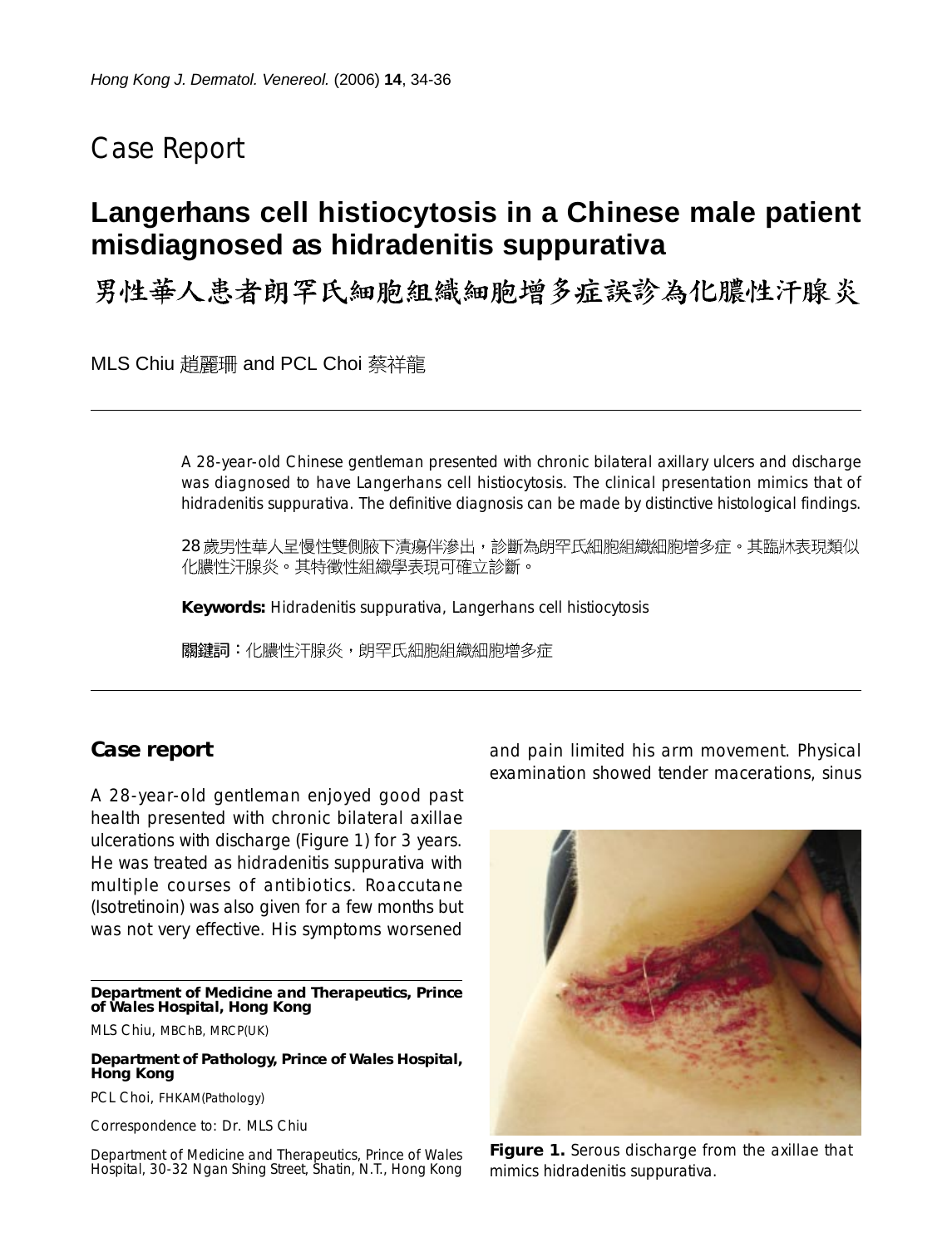## Case Report

# **Langerhans cell histiocytosis in a Chinese male patient misdiagnosed as hidradenitis suppurativa**

男性華人患者朗罕氏細胞組織細胞增多症誤診為化膿性汗腺炎

MLS Chiu 趙麗珊 and PCL Choi 蔡祥龍

A 28-year-old Chinese gentleman presented with chronic bilateral axillary ulcers and discharge was diagnosed to have Langerhans cell histiocytosis. The clinical presentation mimics that of hidradenitis suppurativa. The definitive diagnosis can be made by distinctive histological findings.

28 歲男性華人呈慢性雙側腋下漬瘍伴滲出,診斷為朗罕氏細胞組織細胞增多症。其臨牀表現類似 化膿性汗腺炎。其特徵性組織學表現可確立診斷。

**Keywords:** Hidradenitis suppurativa, Langerhans cell histiocytosis

關鍵詞:化膿性汗腺炎,朗罕氏細胞組織細胞增多症

### **Case report**

A 28-year-old gentleman enjoyed good past health presented with chronic bilateral axillae ulcerations with discharge (Figure 1) for 3 years. He was treated as hidradenitis suppurativa with multiple courses of antibiotics. Roaccutane (Isotretinoin) was also given for a few months but was not very effective. His symptoms worsened

**Department of Medicine and Therapeutics, Prince of Wales Hospital, Hong Kong**

MLS Chiu, MBChB, MRCP(UK)

**Department of Pathology, Prince of Wales Hospital, Hong Kong**

PCL Choi, FHKAM(Pathology)

Correspondence to: Dr. MLS Chiu

Department of Medicine and Therapeutics, Prince of Wales Hospital, 30-32 Ngan Shing Street, Shatin, N.T., Hong Kong and pain limited his arm movement. Physical examination showed tender macerations, sinus



**Figure 1.** Serous discharge from the axillae that mimics hidradenitis suppurativa.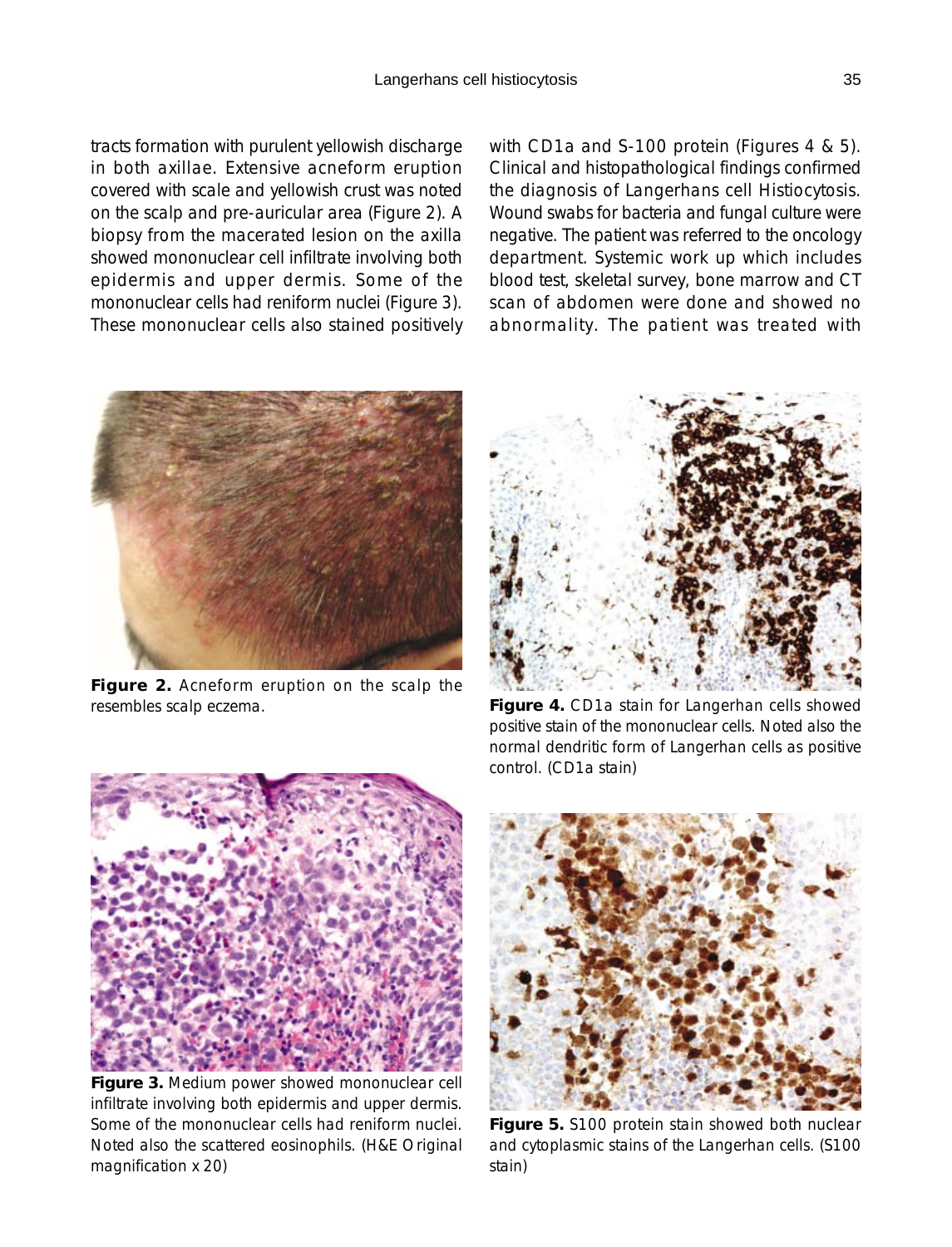tracts formation with purulent yellowish discharge in both axillae. Extensive acneform eruption covered with scale and yellowish crust was noted on the scalp and pre-auricular area (Figure 2). A biopsy from the macerated lesion on the axilla showed mononuclear cell infiltrate involving both epidermis and upper dermis. Some of the mononuclear cells had reniform nuclei (Figure 3). These mononuclear cells also stained positively with CD1a and S-100 protein (Figures 4 & 5). Clinical and histopathological findings confirmed the diagnosis of Langerhans cell Histiocytosis. Wound swabs for bacteria and fungal culture were negative. The patient was referred to the oncology department. Systemic work up which includes blood test, skeletal survey, bone marrow and CT scan of abdomen were done and showed no abnormality. The patient was treated with



**Figure 2.** Acneform eruption on the scalp the resembles scalp eczema.



**Figure 4.** CD1a stain for Langerhan cells showed positive stain of the mononuclear cells. Noted also the normal dendritic form of Langerhan cells as positive control. (CD1a stain)



**Figure 3.** Medium power showed mononuclear cell infiltrate involving both epidermis and upper dermis. Some of the mononuclear cells had reniform nuclei. Noted also the scattered eosinophils. (H&E Original magnification x 20)



**Figure 5.** S100 protein stain showed both nuclear and cytoplasmic stains of the Langerhan cells. (S100 stain)